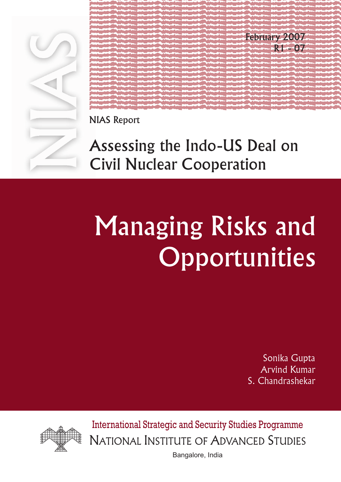

February 2007 R1 - 07

NIAS Report

# Assessing the Indo-US Deal on Civil Nuclear Cooperation

# Managing Risks and **Opportunities**

Sonika Gupta Arvind Kumar S. Chandrashekar



International Strategic and Security Studies Programme NATIONAL INSTITUTE OF ADVANCED STUDIES

Bangalore, India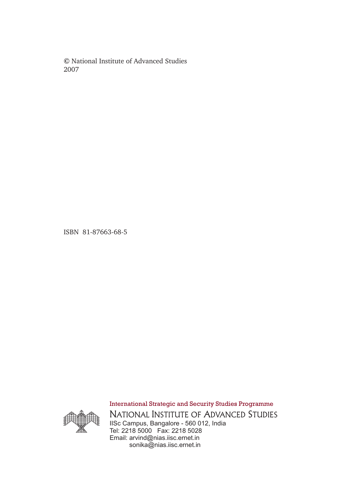**©** National Institute of Advanced Studies 2007

ISBN 81-87663-68-5



IISc Campus, Bangalore - 560 012, India Tel: 2218 5000 Fax: 2218 5028 Email: arvind@nias.iisc.ernet.in sonika@nias.iisc.ernet.in NATIONAL INSTITUTE OF ADVANCED STUDIES International Strategic and Security Studies Programme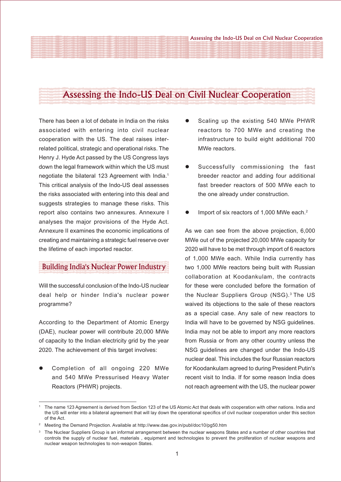# Assessing the Indo-US Deal on Civil Nuclear Cooperation

There has been a lot of debate in India on the risks associated with entering into civil nuclear cooperation with the US. The deal raises interrelated political, strategic and operational risks. The Henry J. Hyde Act passed by the US Congress lays down the legal framework within which the US must negotiate the bilateral 123 Agreement with India.1 This critical analysis of the Indo-US deal assesses the risks associated with entering into this deal and suggests strategies to manage these risks. This report also contains two annexures. Annexure I analyses the major provisions of the Hyde Act. Annexure II examines the economic implications of creating and maintaining a strategic fuel reserve over the lifetime of each imported reactor.

## Building India's Nuclear Power Industry

Will the successful conclusion of the Indo-US nuclear deal help or hinder India's nuclear power programme?

According to the Department of Atomic Energy (DAE), nuclear power will contribute 20,000 MWe of capacity to the Indian electricity grid by the year 2020. The achievement of this target involves:

Completion of all ongoing 220 MWe and 540 MWe Pressurised Heavy Water Reactors (PHWR) projects.

- Scaling up the existing 540 MWe PHWR reactors to 700 MWe and creating the infrastructure to build eight additional 700 MWe reactors.
- Successfully commissioning the fast breeder reactor and adding four additional fast breeder reactors of 500 MWe each to the one already under construction.
- Import of six reactors of 1,000 MWe each. $2$

As we can see from the above projection, 6,000 MWe out of the projected 20,000 MWe capacity for 2020 will have to be met through import of 6 reactors of 1,000 MWe each. While India currently has two 1,000 MWe reactors being built with Russian collaboration at Koodankulam, the contracts for these were concluded before the formation of the Nuclear Suppliers Group (NSG).<sup>3</sup> The US waived its objections to the sale of these reactors as a special case. Any sale of new reactors to India will have to be governed by NSG guidelines. India may not be able to import any more reactors from Russia or from any other country unless the NSG guidelines are changed under the Indo-US nuclear deal. This includes the four Russian reactors for Koodankulam agreed to during President Putin's recent visit to India. If for some reason India does not reach agreement with the US, the nuclear power

<sup>&</sup>lt;sup>1</sup> The name 123 Agreement is derived from Section 123 of the US Atomic Act that deals with cooperation with other nations. India and the US will enter into a bilateral agreement that will lay down the operational specifics of civil nuclear cooperation under this section of the Act.

<sup>2</sup> Meeting the Demand Projection. Available at http://www.dae.gov.in/publ/doc10/pg50.htm

<sup>&</sup>lt;sup>3</sup> The Nuclear Suppliers Group is an informal arrangement between the nuclear weapons States and a number of other countries that controls the supply of nuclear fuel, materials , equipment and technologies to prevent the proliferation of nuclear weapons and nuclear weapon technologies to non-weapon States.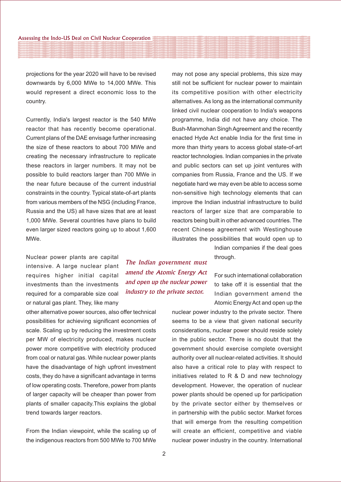projections for the year 2020 will have to be revised downwards by 6,000 MWe to 14,000 MWe. This would represent a direct economic loss to the country.

Currently, India's largest reactor is the 540 MWe reactor that has recently become operational. Current plans of the DAE envisage further increasing the size of these reactors to about 700 MWe and creating the necessary infrastructure to replicate these reactors in larger numbers. It may not be possible to build reactors larger than 700 MWe in the near future because of the current industrial constraints in the country. Typical state-of-art plants from various members of the NSG (including France, Russia and the US) all have sizes that are at least 1,000 MWe. Several countries have plans to build even larger sized reactors going up to about 1,600 MWe.

Nuclear power plants are capital intensive. A large nuclear plant requires higher initial capital investments than the investments required for a comparable size coal or natural gas plant. They, like many

other alternative power sources, also offer technical possibilities for achieving significant economies of scale. Scaling up by reducing the investment costs per MW of electricity produced, makes nuclear power more competitive with electricity produced from coal or natural gas. While nuclear power plants have the disadvantage of high upfront investment costs, they do have a significant advantage in terms of low operating costs. Therefore, power from plants of larger capacity will be cheaper than power from plants of smaller capacity.This explains the global trend towards larger reactors.

From the Indian viewpoint, while the scaling up of the indigenous reactors from 500 MWe to 700 MWe

The Indian government must amend the Atomic Energy Act and open up the nuclear power industry to the private sector.

may not pose any special problems, this size may still not be sufficient for nuclear power to maintain its competitive position with other electricity alternatives. As long as the international community linked civil nuclear cooperation to India's weapons programme, India did not have any choice. The Bush-Manmohan Singh Agreement and the recently enacted Hyde Act enable India for the first time in more than thirty years to access global state-of-art reactor technologies. Indian companies in the private and public sectors can set up joint ventures with companies from Russia, France and the US. If we negotiate hard we may even be able to access some non-sensitive high technology elements that can improve the Indian industrial infrastructure to build reactors of larger size that are comparable to reactors being built in other advanced countries. The recent Chinese agreement with Westinghouse illustrates the possibilities that would open up to

> Indian companies if the deal goes through.

For such international collaboration to take off it is essential that the Indian government amend the Atomic Energy Act and open up the

nuclear power industry to the private sector. There seems to be a view that given national security considerations, nuclear power should reside solely in the public sector. There is no doubt that the government should exercise complete oversight authority over all nuclear-related activities. It should also have a critical role to play with respect to initiatives related to R & D and new technology development. However, the operation of nuclear power plants should be opened up for participation by the private sector either by themselves or in partnership with the public sector. Market forces that will emerge from the resulting competition will create an efficient, competitive and viable nuclear power industry in the country. International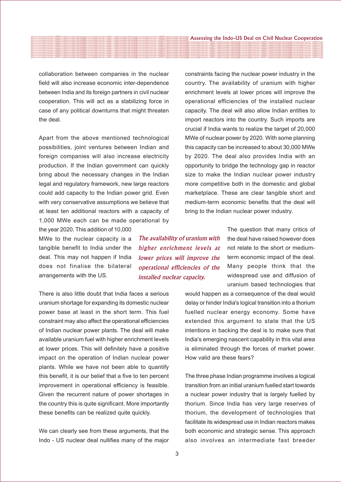collaboration between companies in the nuclear field will also increase economic inter-dependence between India and its foreign partners in civil nuclear cooperation. This will act as a stabilizing force in case of any political downturns that might threaten the deal.

Apart from the above mentioned technological possibilities, joint ventures between Indian and foreign companies will also increase electricity production. If the Indian government can quickly bring about the necessary changes in the Indian legal and regulatory framework, new large reactors could add capacity to the Indian power grid. Even with very conservative assumptions we believe that at least ten additional reactors with a capacity of 1,000 MWe each can be made operational by

the year 2020. This addition of 10,000 MWe to the nuclear capacity is a tangible benefit to India under the deal. This may not happen if India does not finalise the bilateral arrangements with the US.

There is also little doubt that India faces a serious uranium shortage for expanding its domestic nuclear power base at least in the short term. This fuel constraint may also affect the operational efficiencies of Indian nuclear power plants. The deal will make available uranium fuel with higher enrichment levels at lower prices. This will definitely have a positive impact on the operation of Indian nuclear power plants. While we have not been able to quantify this benefit, it is our belief that a five to ten percent improvement in operational efficiency is feasible. Given the recurrent nature of power shortages in the country this is quite significant. More importantly these benefits can be realized quite quickly.

We can clearly see from these arguments, that the Indo - US nuclear deal nullifies many of the major constraints facing the nuclear power industry in the country. The availability of uranium with higher enrichment levels at lower prices will improve the operational efficiencies of the installed nuclear capacity. The deal will also allow Indian entities to import reactors into the country. Such imports are crucial if India wants to realize the target of 20,000 MWe of nuclear power by 2020. With some planning this capacity can be increased to about 30,000 MWe by 2020. The deal also provides India with an opportunity to bridge the technology gap in reactor size to make the Indian nuclear power industry more competitive both in the domestic and global marketplace. These are clear tangible short and medium-term economic benefits that the deal will bring to the Indian nuclear power industry.

The availability of uranium with higher enrichment levels at lower prices will improve the operational efficiencies of the installed nuclear capacity.

The question that many critics of the deal have raised however does not relate to the short or mediumterm economic impact of the deal. Many people think that the widespread use and diffusion of uranium based technologies that

would happen as a consequence of the deal would delay or hinder India's logical transition into a thorium fuelled nuclear energy economy. Some have extended this argument to state that the US intentions in backing the deal is to make sure that India's emerging nascent capability in this vital area is eliminated through the forces of market power. How valid are these fears?

The three phase Indian programme involves a logical transition from an initial uranium fuelled start towards a nuclear power industry that is largely fuelled by thorium. Since India has very large reserves of thorium, the development of technologies that facilitate its widespread use in Indian reactors makes both economic and strategic sense. This approach also involves an intermediate fast breeder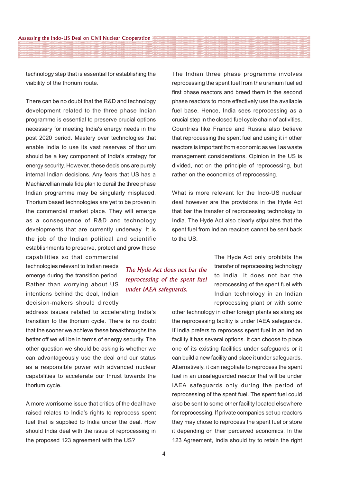technology step that is essential for establishing the viability of the thorium route.

There can be no doubt that the R&D and technology development related to the three phase Indian programme is essential to preserve crucial options necessary for meeting India's energy needs in the post 2020 period. Mastery over technologies that enable India to use its vast reserves of thorium should be a key component of India's strategy for energy security. However, these decisions are purely internal Indian decisions. Any fears that US has a Machiavellian mala fide plan to derail the three phase Indian programme may be singularly misplaced. Thorium based technologies are yet to be proven in the commercial market place. They will emerge as a consequence of R&D and technology developments that are currently underway. It is the job of the Indian political and scientific establishments to preserve, protect and grow these

capabilities so that commercial technologies relevant to Indian needs emerge during the transition period. Rather than worrying about US intentions behind the deal, Indian decision-makers should directly

address issues related to accelerating India's transition to the thorium cycle. There is no doubt that the sooner we achieve these breakthroughs the better off we will be in terms of energy security. The other question we should be asking is whether we can advantageously use the deal and our status as a responsible power with advanced nuclear capabilities to accelerate our thrust towards the thorium cycle.

A more worrisome issue that critics of the deal have raised relates to India's rights to reprocess spent fuel that is supplied to India under the deal. How should India deal with the issue of reprocessing in the proposed 123 agreement with the US?

The Indian three phase programme involves reprocessing the spent fuel from the uranium fuelled first phase reactors and breed them in the second phase reactors to more effectively use the available fuel base. Hence, India sees reprocessing as a crucial step in the closed fuel cycle chain of activities. Countries like France and Russia also believe that reprocessing the spent fuel and using it in other reactors is important from economic as well as waste management considerations. Opinion in the US is divided, not on the principle of reprocessing, but rather on the economics of reprocessing.

What is more relevant for the Indo-US nuclear deal however are the provisions in the Hyde Act that bar the transfer of reprocessing technology to India. The Hyde Act also clearly stipulates that the spent fuel from Indian reactors cannot be sent back to the US.

> The Hyde Act only prohibits the transfer of reprocessing technology to India. It does not bar the reprocessing of the spent fuel with Indian technology in an Indian reprocessing plant or with some

other technology in other foreign plants as along as the reprocessing facility is under IAEA safeguards. If India prefers to reprocess spent fuel in an Indian facility it has several options. It can choose to place one of its existing facilities under safeguards or it can build a new facility and place it under safeguards. Alternatively, it can negotiate to reprocess the spent fuel in an unsafeguarded reactor that will be under IAEA safeguards only during the period of reprocessing of the spent fuel. The spent fuel could also be sent to some other facility located elsewhere for reprocessing. If private companies set up reactors they may chose to reprocess the spent fuel or store it depending on their perceived economics. In the 123 Agreement, India should try to retain the right

The Hyde Act does not bar the reprocessing of the spent fuel

under IAEA safeguards.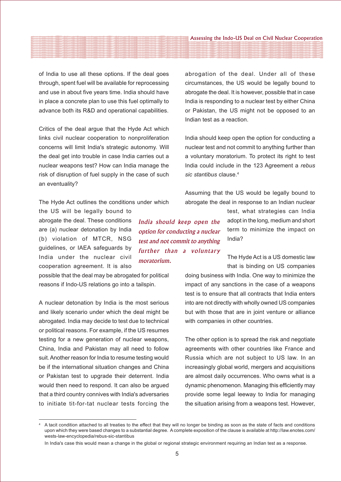of India to use all these options. If the deal goes through, spent fuel will be available for reprocessing and use in about five years time. India should have in place a concrete plan to use this fuel optimally to advance both its R&D and operational capabilities.

Critics of the deal argue that the Hyde Act which links civil nuclear cooperation to nonproliferation concerns will limit India's strategic autonomy. Will the deal get into trouble in case India carries out a nuclear weapons test? How can India manage the risk of disruption of fuel supply in the case of such an eventuality?

The Hyde Act outlines the conditions under which

the US will be legally bound to abrogate the deal. These conditions are (a) nuclear detonation by India (b) violation of MTCR, NSG guidelines, or IAEA safeguards by India under the nuclear civil cooperation agreement. It is also

possible that the deal may be abrogated for political reasons if Indo-US relations go into a tailspin.

A nuclear detonation by India is the most serious and likely scenario under which the deal might be abrogated. India may decide to test due to technical or political reasons. For example, if the US resumes testing for a new generation of nuclear weapons, China, India and Pakistan may all need to follow suit. Another reason for India to resume testing would be if the international situation changes and China or Pakistan test to upgrade their deterrent. India would then need to respond. It can also be argued that a third country connives with India's adversaries to initiate tit-for-tat nuclear tests forcing the abrogation of the deal. Under all of these circumstances, the US would be legally bound to abrogate the deal. It is however, possible that in case India is responding to a nuclear test by either China or Pakistan, the US might not be opposed to an Indian test as a reaction.

India should keep open the option for conducting a nuclear test and not commit to anything further than a voluntary moratorium. To protect its right to test India could include in the 123 Agreement a *rebus sic stantibus* clause.4

Assuming that the US would be legally bound to abrogate the deal in response to an Indian nuclear

India should keep open the option for conducting a nuclear test and not commit to anything further than a voluntary moratorium.

test, what strategies can India adopt in the long, medium and short term to minimize the impact on India?

The Hyde Act is a US domestic law that is binding on US companies

doing business with India. One way to minimize the impact of any sanctions in the case of a weapons test is to ensure that all contracts that India enters into are not directly with wholly owned US companies but with those that are in joint venture or alliance with companies in other countries.

The other option is to spread the risk and negotiate agreements with other countries like France and Russia which are not subject to US law. In an increasingly global world, mergers and acquisitions are almost daily occurrences. Who owns what is a dynamic phenomenon. Managing this efficiently may provide some legal leeway to India for managing the situation arising from a weapons test. However,

<sup>4</sup> A tacit condition attached to all treaties to the effect that they will no longer be binding as soon as the state of facts and conditions upon which they were based changes to a substantial degree. A complete exposition of the clause is available at http://law.enotes.com/ wests-law-encyclopedia/rebus-sic-stantibus

In India's case this would mean a change in the global or regional strategic environment requiring an Indian test as a response.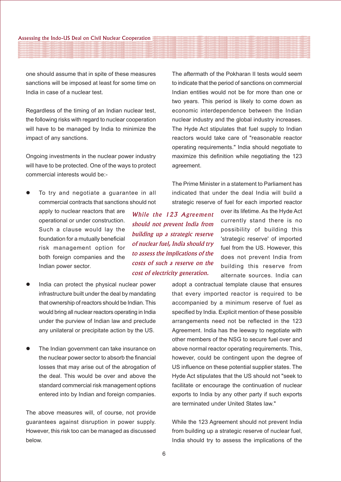one should assume that in spite of these measures sanctions will be imposed at least for some time on India in case of a nuclear test.

Regardless of the timing of an Indian nuclear test, the following risks with regard to nuclear cooperation will have to be managed by India to minimize the impact of any sanctions.

Ongoing investments in the nuclear power industry will have to be protected. One of the ways to protect commercial interests would be:-

- To try and negotiate a guarantee in all commercial contracts that sanctions should not
	- apply to nuclear reactors that are operational or under construction. Such a clause would lay the foundation for a mutually beneficial risk management option for both foreign companies and the Indian power sector.
- India can protect the physical nuclear power infrastructure built under the deal by mandating that ownership of reactors should be Indian. This would bring all nuclear reactors operating in India under the purview of Indian law and preclude any unilateral or precipitate action by the US.
- The Indian government can take insurance on the nuclear power sector to absorb the financial losses that may arise out of the abrogation of the deal. This would be over and above the standard commercial risk management options entered into by Indian and foreign companies.

The above measures will, of course, not provide guarantees against disruption in power supply. However, this risk too can be managed as discussed below.

While the 123 Agreement should not prevent India from building up a strategic reserve of nuclear fuel, India should try to assess the implications of the costs of such a reserve on the cost of electricity generation.

The aftermath of the Pokharan II tests would seem to indicate that the period of sanctions on commercial Indian entities would not be for more than one or two years. This period is likely to come down as economic interdependence between the Indian nuclear industry and the global industry increases. The Hyde Act stipulates that fuel supply to Indian reactors would take care of "reasonable reactor operating requirements." India should negotiate to maximize this definition while negotiating the 123 agreement.

The Prime Minister in a statement to Parliament has indicated that under the deal India will build a strategic reserve of fuel for each imported reactor

> over its lifetime. As the Hyde Act currently stand there is no possibility of building this 'strategic reserve' of imported fuel from the US. However, this does not prevent India from building this reserve from alternate sources. India can

adopt a contractual template clause that ensures that every imported reactor is required to be accompanied by a minimum reserve of fuel as specified by India. Explicit mention of these possible arrangements need not be reflected in the 123 Agreement. India has the leeway to negotiate with other members of the NSG to secure fuel over and above normal reactor operating requirements. This, however, could be contingent upon the degree of US influence on these potential supplier states. The Hyde Act stipulates that the US should not "seek to facilitate or encourage the continuation of nuclear exports to India by any other party if such exports are terminated under United States law."

While the 123 Agreement should not prevent India from building up a strategic reserve of nuclear fuel, India should try to assess the implications of the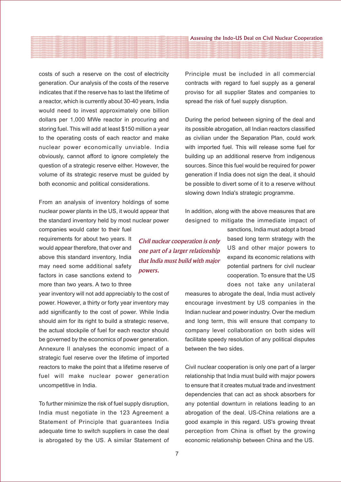costs of such a reserve on the cost of electricity generation. Our analysis of the costs of the reserve indicates that if the reserve has to last the lifetime of a reactor, which is currently about 30-40 years, India would need to invest approximately one billion dollars per 1,000 MWe reactor in procuring and storing fuel. This will add at least \$150 million a year to the operating costs of each reactor and make nuclear power economically unviable. India obviously, cannot afford to ignore completely the question of a strategic reserve either. However, the volume of its strategic reserve must be guided by both economic and political considerations.

From an analysis of inventory holdings of some nuclear power plants in the US, it would appear that the standard inventory held by most nuclear power

companies would cater to their fuel requirements for about two years. It would appear therefore, that over and above this standard inventory, India may need some additional safety factors in case sanctions extend to more than two years. A two to three

year inventory will not add appreciably to the cost of power. However, a thirty or forty year inventory may add significantly to the cost of power. While India should aim for its right to build a strategic reserve, the actual stockpile of fuel for each reactor should be governed by the economics of power generation. Annexure II analyses the economic impact of a strategic fuel reserve over the lifetime of imported reactors to make the point that a lifetime reserve of fuel will make nuclear power generation uncompetitive in India.

To further minimize the risk of fuel supply disruption, India must negotiate in the 123 Agreement a Statement of Principle that guarantees India adequate time to switch suppliers in case the deal is abrogated by the US. A similar Statement of Principle must be included in all commercial contracts with regard to fuel supply as a general proviso for all supplier States and companies to spread the risk of fuel supply disruption.

During the period between signing of the deal and its possible abrogation, all Indian reactors classified as civilian under the Separation Plan, could work with imported fuel. This will release some fuel for building up an additional reserve from indigenous sources. Since this fuel would be required for power generation if India does not sign the deal, it should be possible to divert some of it to a reserve without slowing down India's strategic programme.

In addition, along with the above measures that are designed to mitigate the immediate impact of

> sanctions, India must adopt a broad based long term strategy with the US and other major powers to expand its economic relations with potential partners for civil nuclear cooperation. To ensure that the US does not take any unilateral

measures to abrogate the deal, India must actively encourage investment by US companies in the Indian nuclear and power industry. Over the medium and long term, this will ensure that company to company level collaboration on both sides will facilitate speedy resolution of any political disputes between the two sides.

Civil nuclear cooperation is only one part of a larger relationship that India must build with major powers to ensure that it creates mutual trade and investment dependencies that can act as shock absorbers for any potential downturn in relations leading to an abrogation of the deal. US-China relations are a good example in this regard. US's growing threat perception from China is offset by the growing economic relationship between China and the US.

Civil nuclear cooperation is only one part of a larger relationship that India must build with major

powers.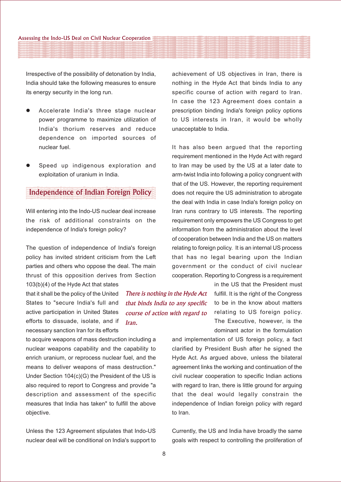Irrespective of the possibility of detonation by India, India should take the following measures to ensure its energy security in the long run.

- Accelerate India's three stage nuclear power programme to maximize utilization of India's thorium reserves and reduce dependence on imported sources of nuclear fuel.
- Speed up indigenous exploration and exploitation of uranium in India.

### Independence of Indian Foreign Policy

Will entering into the Indo-US nuclear deal increase the risk of additional constraints on the independence of India's foreign policy?

The question of independence of India's foreign policy has invited strident criticism from the Left parties and others who oppose the deal. The main thrust of this opposition derives from Section

103(b)(4) of the Hyde Act that states that it shall be the policy of the United States to "secure India's full and active participation in United States efforts to dissuade, isolate, and if necessary sanction Iran for its efforts

to acquire weapons of mass destruction including a nuclear weapons capability and the capability to enrich uranium, or reprocess nuclear fuel, and the means to deliver weapons of mass destruction." Under Section 104(c)(G) the President of the US is also required to report to Congress and provide "a description and assessment of the specific measures that India has taken" to fulfill the above objective.

Unless the 123 Agreement stipulates that Indo-US nuclear deal will be conditional on India's support to achievement of US objectives in Iran, there is nothing in the Hyde Act that binds India to any specific course of action with regard to Iran. In case the 123 Agreement does contain a prescription binding India's foreign policy options to US interests in Iran, it would be wholly unacceptable to India.

It has also been argued that the reporting requirement mentioned in the Hyde Act with regard to Iran may be used by the US at a later date to arm-twist India into following a policy congruent with that of the US. However, the reporting requirement does not require the US administration to abrogate the deal with India in case India's foreign policy on Iran runs contrary to US interests. The reporting requirement only empowers the US Congress to get information from the administration about the level of cooperation between India and the US on matters relating to foreign policy. It is an internal US process that has no legal bearing upon the Indian government or the conduct of civil nuclear cooperation. Reporting to Congress is a requirement

> in the US that the President must fulfill. It is the right of the Congress to be in the know about matters relating to US foreign policy. The Executive, however, is the dominant actor in the formulation

and implementation of US foreign policy, a fact clarified by President Bush after he signed the Hyde Act. As argued above, unless the bilateral agreement links the working and continuation of the civil nuclear cooperation to specific Indian actions with regard to Iran, there is little ground for arguing that the deal would legally constrain the independence of Indian foreign policy with regard to Iran.

Currently, the US and India have broadly the same goals with respect to controlling the proliferation of

There is nothing in the Hyde Act that binds India to any specific course of action with regard to

Iran.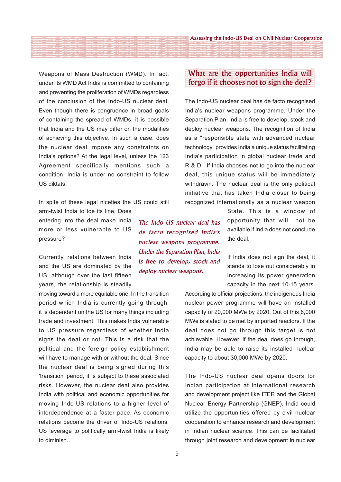Weapons of Mass Destruction (WMD). In fact, under its WMD Act India is committed to containing and preventing the proliferation of WMDs regardless of the conclusion of the Indo-US nuclear deal. Even though there is congruence in broad goals of containing the spread of WMDs, it is possible that India and the US may differ on the modalities of achieving this objective. In such a case, does the nuclear deal impose any constraints on India's options? At the legal level, unless the 123 Agreement specifically mentions such a condition, India is under no constraint to follow US diktats.

In spite of these legal niceties the US could still

arm-twist India to toe its line. Does entering into the deal make India more or less vulnerable to US pressure?

Currently, relations between India and the US are dominated by the US; although over the last fifteen years, the relationship is steadily

moving toward a more equitable one. In the transition period which India is currently going through, it is dependent on the US for many things including trade and investment. This makes India vulnerable to US pressure regardless of whether India signs the deal or not. This is a risk that the political and the foreign policy establishment will have to manage with or without the deal. Since the nuclear deal is being signed during this 'transition' period, it is subject to these associated risks. However, the nuclear deal also provides India with political and economic opportunities for moving Indo-US relations to a higher level of interdependence at a faster pace. As economic relations become the driver of Indo-US relations, US leverage to politically arm-twist India is likely to diminish.

# What are the opportunities India will forgo if it chooses not to sign the deal?

The Indo-US nuclear deal has de facto recognised India's nuclear weapons programme. Under the Separation Plan, India is free to develop, stock and deploy nuclear weapons. The recognition of India as a "responsible state with advanced nuclear technology" provides India a unique status facilitating India's participation in global nuclear trade and R & D. If India chooses not to go into the nuclear deal, this unique status will be immediately withdrawn. The nuclear deal is the only political initiative that has taken India closer to being recognized internationally as a nuclear weapon

> State. This is a window of opportunity that will not be available if India does not conclude the deal.

> If India does not sign the deal, it stands to lose out considerably in increasing its power generation capacity in the next 10-15 years.

According to official projections, the indigenous India nuclear power programme will have an installed capacity of 20,000 MWe by 2020. Out of this 6,000 MWe is slated to be met by imported reactors. If the deal does not go through this target is not achievable. However, if the deal does go through, India may be able to raise its installed nuclear capacity to about 30,000 MWe by 2020.

The Indo-US nuclear deal opens doors for Indian participation at international research and development project like ITER and the Global Nuclear Energy Partnership (GNEP). India could utilize the opportunities offered by civil nuclear cooperation to enhance research and development in Indian nuclear science. This can be facilitated through joint research and development in nuclear

The Indo-US nuclear deal has de facto recognised India's nuclear weapons programme. Under the Separation Plan, India is free to develop, stock and

deploy nuclear weapons.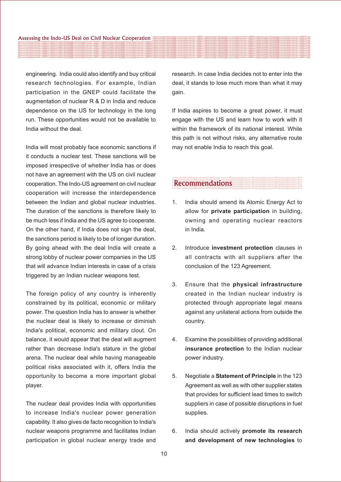engineering. India could also identify and buy critical research technologies. For example, Indian participation in the GNEP could facilitate the augmentation of nuclear R & D in India and reduce dependence on the US for technology in the long run. These opportunities would not be available to India without the deal.

India will most probably face economic sanctions if it conducts a nuclear test. These sanctions will be imposed irrespective of whether India has or does not have an agreement with the US on civil nuclear cooperation. The Indo-US agreement on civil nuclear cooperation will increase the interdependence between the Indian and global nuclear industries. The duration of the sanctions is therefore likely to be much less if India and the US agree to cooperate. On the other hand, if India does not sign the deal, the sanctions period is likely to be of longer duration. By going ahead with the deal India will create a strong lobby of nuclear power companies in the US that will advance Indian interests in case of a crisis triggered by an Indian nuclear weapons test.

The foreign policy of any country is inherently constrained by its political, economic or military power. The question India has to answer is whether the nuclear deal is likely to increase or diminish India's political, economic and military clout. On balance, it would appear that the deal will augment rather than decrease India's stature in the global arena. The nuclear deal while having manageable political risks associated with it, offers India the opportunity to become a more important global player.

The nuclear deal provides India with opportunities to increase India's nuclear power generation capability. It also gives de facto recognition to India's nuclear weapons programme and facilitates Indian participation in global nuclear energy trade and

research. In case India decides not to enter into the deal, it stands to lose much more than what it may gain.

If India aspires to become a great power, it must engage with the US and learn how to work with it within the framework of its national interest. While this path is not without risks, any alternative route may not enable India to reach this goal.

#### Recommendations

- 1. India should amend its Atomic Energy Act to allow for **private participation** in building, owning and operating nuclear reactors in India.
- 2. Introduce **investment protection** clauses in all contracts with all suppliers after the conclusion of the 123 Agreement.
- 3. Ensure that the **physical infrastructure** created in the Indian nuclear industry is protected through appropriate legal means against any unilateral actions from outside the country.
- 4. Examine the possibilities of providing additional **insurance protection** to the Indian nuclear power industry.
- 5. Negotiate a **Statement of Principle** in the 123 Agreement as well as with other supplier states that provides for sufficient lead times to switch suppliers in case of possible disruptions in fuel supplies.
- 6. India should actively **promote its research and development of new technologies** to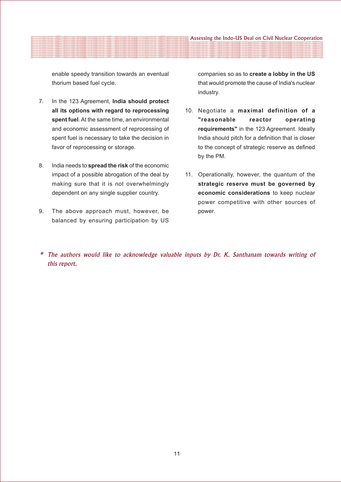enable speedy transition towards an eventual thorium based fuel cycle.

- 7. In the 123 Agreement, **India should protect all its options with regard to reprocessing spent fuel**. At the same time, an environmental and economic assessment of reprocessing of spent fuel is necessary to take the decision in favor of reprocessing or storage.
- 8. India needs to **spread the risk** of the economic impact of a possible abrogation of the deal by making sure that it is not overwhelmingly dependent on any single supplier country.
- 9. The above approach must, however, be balanced by ensuring participation by US

companies so as to **create a lobby in the US** that would promote the cause of India's nuclear industry.

- 10. Negotiate a **maximal definition of a "reasonable reactor operating requirements"** in the 123 Agreement. Ideally India should pitch for a definition that is closer to the concept of strategic reserve as defined by the PM.
- 11. Operationally, however, the quantum of the **strategic reserve must be governed by economic considerations** to keep nuclear power competitive with other sources of power.
- $*$  The authors would like to acknowledge valuable inputs by Dr. K. Santhanam towards writing of this report.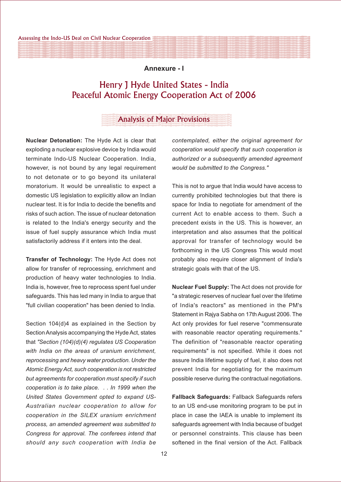#### **Annexure - I**

# Henry J Hyde United States - India Peaceful Atomic Energy Cooperation Act of 2006

#### Analysis of Major Provisions

**Nuclear Detonation:** The Hyde Act is clear that exploding a nuclear explosive device by India would terminate Indo-US Nuclear Cooperation. India, however, is not bound by any legal requirement to not detonate or to go beyond its unilateral moratorium. It would be unrealistic to expect a domestic US legislation to explicitly allow an Indian nuclear test. It is for India to decide the benefits and risks of such action. The issue of nuclear detonation is related to the India's energy security and the issue of fuel supply assurance which India must satisfactorily address if it enters into the deal.

**Transfer of Technology:** The Hyde Act does not allow for transfer of reprocessing, enrichment and production of heavy water technologies to India. India is, however, free to reprocess spent fuel under safeguards. This has led many in India to argue that "full civilian cooperation" has been denied to India.

Section 104(d)4 as explained in the Section by Section Analysis accompanying the Hyde Act, states that *"Section (104)(d)(4) regulates US Cooperation with India on the areas of uranium enrichment, reprocessing and heavy water production. Under the Atomic Energy Act, such cooperation is not restricted but agreements for cooperation must specify if such cooperation is to take place. . . In 1999 when the United States Government opted to expand US-Australian nuclear cooperation to allow for cooperation in the SILEX uranium enrichment process, an amended agreement was submitted to Congress for approval. The conferees intend that should any such cooperation with India be*

*contemplated, either the original agreement for cooperation would specify that such cooperation is authorized or a subsequently amended agreement would be submitted to the Congress."*

This is not to argue that India would have access to currently prohibited technologies but that there is space for India to negotiate for amendment of the current Act to enable access to them. Such a precedent exists in the US. This is however, an interpretation and also assumes that the political approval for transfer of technology would be forthcoming in the US Congress This would most probably also require closer alignment of India's strategic goals with that of the US.

**Nuclear Fuel Supply:** The Act does not provide for "a strategic reserves of nuclear fuel over the lifetime of India's reactors" as mentioned in the PM's Statement in Rajya Sabha on 17th August 2006. The Act only provides for fuel reserve "commensurate with reasonable reactor operating requirements." The definition of "reasonable reactor operating requirements" is not specified. While it does not assure India lifetime supply of fuel, it also does not prevent India for negotiating for the maximum possible reserve during the contractual negotiations.

**Fallback Safeguards:** Fallback Safeguards refers to an US end-use monitoring program to be put in place in case the IAEA is unable to implement its safeguards agreement with India because of budget or personnel constraints. This clause has been softened in the final version of the Act. Fallback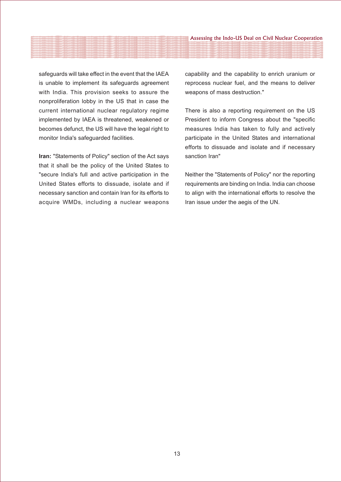safeguards will take effect in the event that the IAEA is unable to implement its safeguards agreement with India. This provision seeks to assure the nonproliferation lobby in the US that in case the current international nuclear regulatory regime implemented by IAEA is threatened, weakened or becomes defunct, the US will have the legal right to monitor India's safeguarded facilities.

**Iran:** "Statements of Policy" section of the Act says that it shall be the policy of the United States to "secure India's full and active participation in the United States efforts to dissuade, isolate and if necessary sanction and contain Iran for its efforts to acquire WMDs, including a nuclear weapons capability and the capability to enrich uranium or reprocess nuclear fuel, and the means to deliver weapons of mass destruction."

There is also a reporting requirement on the US President to inform Congress about the "specific measures India has taken to fully and actively participate in the United States and international efforts to dissuade and isolate and if necessary sanction Iran"

Neither the "Statements of Policy" nor the reporting requirements are binding on India. India can choose to align with the international efforts to resolve the Iran issue under the aegis of the UN.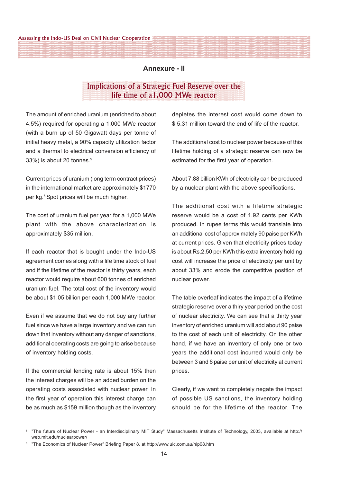#### **Annexure - II**

# Implications of a Strategic Fuel Reserve over the life time of a1,000 MWe reactor

The amount of enriched uranium (enriched to about 4.5%) required for operating a 1,000 MWe reactor (with a burn up of 50 Gigawatt days per tonne of initial heavy metal, a 90% capacity utilization factor and a thermal to electrical conversion efficiency of 33%) is about 20 tonnes.5

Current prices of uranium (long term contract prices) in the international market are approximately \$1770 per kg.<sup>6</sup> Spot prices will be much higher.

The cost of uranium fuel per year for a 1,000 MWe plant with the above characterization is approximately \$35 million.

If each reactor that is bought under the Indo-US agreement comes along with a life time stock of fuel and if the lifetime of the reactor is thirty years, each reactor would require about 600 tonnes of enriched uranium fuel. The total cost of the inventory would be about \$1.05 billion per each 1,000 MWe reactor.

Even if we assume that we do not buy any further fuel since we have a large inventory and we can run down that inventory without any danger of sanctions, additional operating costs are going to arise because of inventory holding costs.

If the commercial lending rate is about 15% then the interest charges will be an added burden on the operating costs associated with nuclear power. In the first year of operation this interest charge can be as much as \$159 million though as the inventory

depletes the interest cost would come down to \$ 5.31 million toward the end of life of the reactor.

The additional cost to nuclear power because of this lifetime holding of a strategic reserve can now be estimated for the first year of operation.

About 7.88 billion KWh of electricity can be produced by a nuclear plant with the above specifications.

The additional cost with a lifetime strategic reserve would be a cost of 1.92 cents per KWh produced. In rupee terms this would translate into an additional cost of approximately 90 paise per KWh at current prices. Given that electricity prices today is about Rs.2.50 per KWh this extra inventory holding cost will increase the price of electricity per unit by about 33% and erode the competitive position of nuclear power.

The table overleaf indicates the impact of a lifetime strategic reserve over a thiry year period on the cost of nuclear electricity. We can see that a thirty year inventory of enriched uranium will add about 90 paise to the cost of each unit of electricity. On the other hand, if we have an inventory of only one or two years the additional cost incurred would only be between 3 and 6 paise per unit of electricity at current prices.

Clearly, if we want to completely negate the impact of possible US sanctions, the inventory holding should be for the lifetime of the reactor. The

<sup>&</sup>quot;The future of Nuclear Power - an Interdisciplinary MIT Study" Massachusetts Institute of Technology, 2003, available at http:// web.mit.edu/nuclearpower/

<sup>6</sup> "The Economics of Nuclear Power" Briefing Paper 8, at http://www.uic.com.au/nip08.htm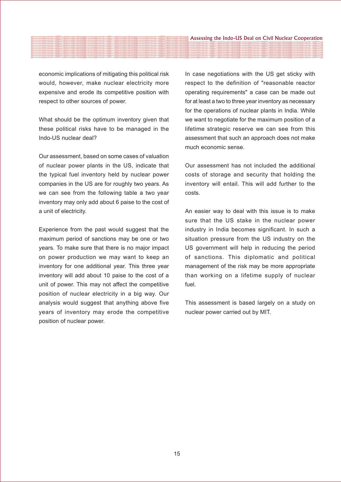economic implications of mitigating this political risk would, however, make nuclear electricity more expensive and erode its competitive position with respect to other sources of power.

What should be the optimum inventory given that these political risks have to be managed in the Indo-US nuclear deal?

Our assessment, based on some cases of valuation of nuclear power plants in the US, indicate that the typical fuel inventory held by nuclear power companies in the US are for roughly two years. As we can see from the following table a two year inventory may only add about 6 paise to the cost of a unit of electricity.

Experience from the past would suggest that the maximum period of sanctions may be one or two years. To make sure that there is no major impact on power production we may want to keep an inventory for one additional year. This three year inventory will add about 10 paise to the cost of a unit of power. This may not affect the competitive position of nuclear electricity in a big way. Our analysis would suggest that anything above five years of inventory may erode the competitive position of nuclear power.

In case negotiations with the US get sticky with respect to the definition of "reasonable reactor operating requirements" a case can be made out for at least a two to three year inventory as necessary for the operations of nuclear plants in India. While we want to negotiate for the maximum position of a lifetime strategic reserve we can see from this assessment that such an approach does not make much economic sense.

Our assessment has not included the additional costs of storage and security that holding the inventory will entail. This will add further to the costs.

An easier way to deal with this issue is to make sure that the US stake in the nuclear power industry in India becomes significant. In such a situation pressure from the US industry on the US government will help in reducing the period of sanctions. This diplomatic and political management of the risk may be more appropriate than working on a lifetime supply of nuclear fuel.

This assessment is based largely on a study on nuclear power carried out by MIT.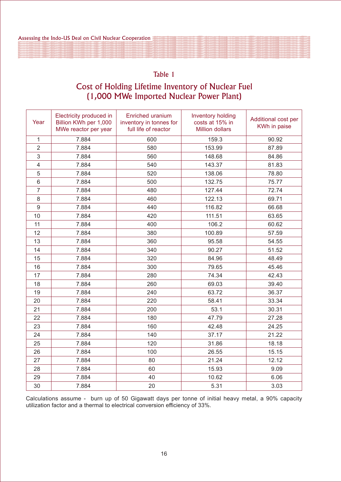# Table 1

# Cost of Holding Lifetime Inventory of Nuclear Fuel (1,000 MWe Imported Nuclear Power Plant)

| Year                    | Electricity produced in<br>Billion KWh per 1,000<br>MWe reactor per year | Enriched uranium<br>inventory in tonnes for<br>full life of reactor | <b>Inventory holding</b><br>costs at 15% in<br><b>Million dollars</b> | Additional cost per<br>KWh in paise |
|-------------------------|--------------------------------------------------------------------------|---------------------------------------------------------------------|-----------------------------------------------------------------------|-------------------------------------|
| $\mathbf{1}$            | 7.884                                                                    | 600                                                                 | 159.3                                                                 | 90.92                               |
| $\overline{2}$          | 7.884                                                                    | 580                                                                 | 153.99                                                                | 87.89                               |
| 3                       | 7.884                                                                    | 560                                                                 | 148.68                                                                | 84.86                               |
| $\overline{\mathbf{4}}$ | 7.884                                                                    | 540                                                                 | 143.37                                                                | 81.83                               |
| 5                       | 7.884                                                                    | 520                                                                 | 138.06                                                                | 78.80                               |
| 6                       | 7.884                                                                    | 500                                                                 | 132.75                                                                | 75.77                               |
| $\overline{7}$          | 7.884                                                                    | 480                                                                 | 127.44                                                                | 72.74                               |
| 8                       | 7.884                                                                    | 460                                                                 | 122.13                                                                | 69.71                               |
| $\boldsymbol{9}$        | 7.884                                                                    | 440                                                                 | 116.82                                                                | 66.68                               |
| 10                      | 7.884                                                                    | 420                                                                 | 111.51                                                                | 63.65                               |
| 11                      | 7.884                                                                    | 400                                                                 | 106.2                                                                 | 60.62                               |
| 12                      | 7.884                                                                    | 380                                                                 | 100.89                                                                | 57.59                               |
| 13                      | 7.884                                                                    | 360                                                                 | 95.58                                                                 | 54.55                               |
| 14                      | 7.884                                                                    | 340                                                                 | 90.27                                                                 | 51.52                               |
| 15                      | 7.884                                                                    | 320                                                                 | 84.96                                                                 | 48.49                               |
| 16                      | 7.884                                                                    | 300                                                                 | 79.65                                                                 | 45.46                               |
| 17                      | 7.884                                                                    | 280                                                                 | 74.34                                                                 | 42.43                               |
| 18                      | 7.884                                                                    | 260                                                                 | 69.03                                                                 | 39.40                               |
| 19                      | 7.884                                                                    | 240                                                                 | 63.72                                                                 | 36.37                               |
| 20                      | 7.884                                                                    | 220                                                                 | 58.41                                                                 | 33.34                               |
| 21                      | 7.884                                                                    | 200                                                                 | 53.1                                                                  | 30.31                               |
| 22                      | 7.884                                                                    | 180                                                                 | 47.79                                                                 | 27.28                               |
| 23                      | 7.884                                                                    | 160                                                                 | 42.48                                                                 | 24.25                               |
| 24                      | 7.884                                                                    | 140                                                                 | 37.17                                                                 | 21.22                               |
| 25                      | 7.884                                                                    | 120                                                                 | 31.86                                                                 | 18.18                               |
| 26                      | 7.884                                                                    | 100                                                                 | 26.55                                                                 | 15.15                               |
| 27                      | 7.884                                                                    | 80                                                                  | 21.24                                                                 | 12.12                               |
| 28                      | 7.884                                                                    | 60                                                                  | 15.93                                                                 | 9.09                                |
| 29                      | 7.884                                                                    | 40                                                                  | 10.62                                                                 | 6.06                                |
| 30                      | 7.884                                                                    | 20                                                                  | 5.31                                                                  | 3.03                                |

Calculations assume - burn up of 50 Gigawatt days per tonne of initial heavy metal, a 90% capacity utilization factor and a thermal to electrical conversion efficiency of 33%.